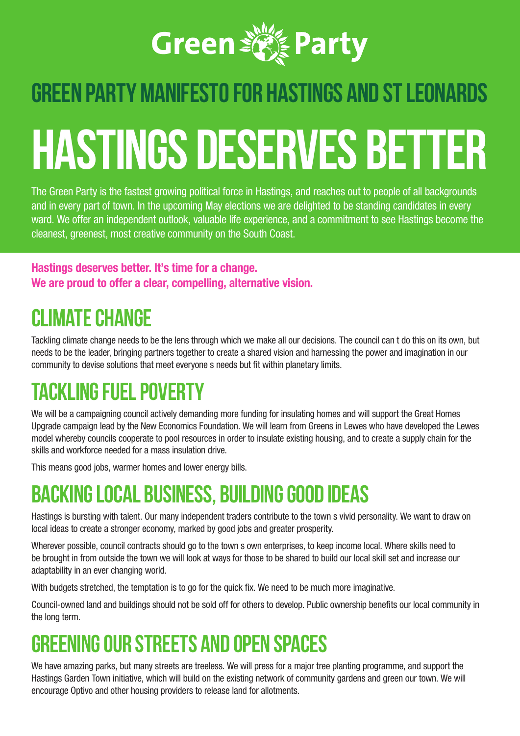

# **green party MANIFESTO FOR HASTINGS AND ST LEONARDS HASTINGS DESERVES BETTER**

The Green Party is the fastest growing political force in Hastings, and reaches out to people of all backgrounds and in every part of town. In the upcoming May elections we are delighted to be standing candidates in every ward. We offer an independent outlook, valuable life experience, and a commitment to see Hastings become the cleanest, greenest, most creative community on the South Coast.

**Hastings deserves better. It's time for a change. We are proud to offer a clear, compelling, alternative vision.**

### **Climate change**

Tackling climate change needs to be the lens through which we make all our decisions. The council can t do this on its own, but needs to be the leader, bringing partners together to create a shared vision and harnessing the power and imagination in our community to devise solutions that meet everyone s needs but fit within planetary limits.

# **Tackling fuel poverty**

We will be a campaigning council actively demanding more funding for insulating homes and will support the Great Homes Upgrade campaign lead by the New Economics Foundation. We will learn from Greens in Lewes who have developed the Lewes model whereby councils cooperate to pool resources in order to insulate existing housing, and to create a supply chain for the skills and workforce needed for a mass insulation drive.

This means good jobs, warmer homes and lower energy bills.

#### **Backing local business, building good ideas**

Hastings is bursting with talent. Our many independent traders contribute to the town s vivid personality. We want to draw on local ideas to create a stronger economy, marked by good jobs and greater prosperity.

Wherever possible, council contracts should go to the town s own enterprises, to keep income local. Where skills need to be brought in from outside the town we will look at ways for those to be shared to build our local skill set and increase our adaptability in an ever changing world.

With budgets stretched, the temptation is to go for the quick fix. We need to be much more imaginative.

Council-owned land and buildings should not be sold off for others to develop. Public ownership benefits our local community in the long term.

#### **Greening our streets and open spaces**

We have amazing parks, but many streets are treeless. We will press for a major tree planting programme, and support the Hastings Garden Town initiative, which will build on the existing network of community gardens and green our town. We will encourage Optivo and other housing providers to release land for allotments.